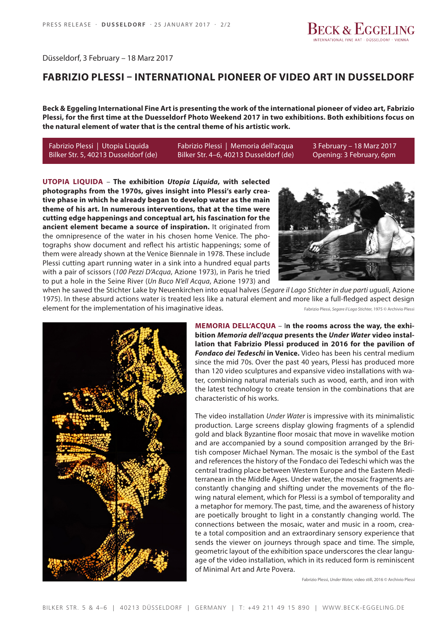

Düsseldorf, 3 February – 18 Marz 2017

# **FABRIZIO PLESSI – INTERNATIONAL PIONEER OF VIDEO ART IN DUSSELDORF**

**Beck & Eggeling International Fine Art is presenting the work of the international pioneer of video art, Fabrizio Plessi, for the first time at the Duesseldorf Photo Weekend 2017 in two exhibitions. Both exhibitions focus on the natural element of water that is the central theme of his artistic work.**

Fabrizio Plessi | Utopia Liquida Fabrizio Plessi | Memoria dell'acqua 3 February - 18 Marz 2017 Bilker Str. 5, 40213 Dusseldorf (de) Bilker Str. 4–6, 40213 Dusseldorf (de) Opening: 3 February, 6pm

**UTOPIA LIQUIDA** – **The exhibition** *Utopia Liquida***, with selected photographs from the 1970s, gives insight into Plessi's early creative phase in which he already began to develop water as the main theme of his art. In numerous interventions, that at the time were cutting edge happenings and conceptual art, his fascination for the ancient element became a source of inspiration.** It originated from the omnipresence of the water in his chosen home Venice. The photographs show document and reflect his artistic happenings; some of them were already shown at the Venice Biennale in 1978. These include Plessi cutting apart running water in a sink into a hundred equal parts with a pair of scissors (*100 Pezzi D'Acqua*, Azione 1973), in Paris he tried to put a hole in the Seine River (*Un Buco N'ell Acqua*, Azione 1973) and



when he sawed the Stichter Lake by Neuenkirchen into equal halves (*Segare il Lago Stichter in due parti uguali*, Azione 1975). In these absurd actions water is treated less like a natural element and more like a full-fledged aspect design element for the implementation of his imaginative ideas. Fabrizio Plessi, *Segare il Lago Stichter,* 1975 © Archivio Plessi



**MEMORIA DELL'ACQUA** – I**n the rooms across the way, the exhibition** *Memoria dell'acqua* **presents the** *Under Water* **video installation that Fabrizio Plessi produced in 2016 for the pavilion of**  *Fondaco dei Tedeschi* **in Venice.** Video has been his central medium since the mid 70s. Over the past 40 years, Plessi has produced more than 120 video sculptures and expansive video installations with water, combining natural materials such as wood, earth, and iron with the latest technology to create tension in the combinations that are characteristic of his works.

The video installation *Under Water* is impressive with its minimalistic production. Large screens display glowing fragments of a splendid gold and black Byzantine floor mosaic that move in wavelike motion and are accompanied by a sound composition arranged by the British composer Michael Nyman. The mosaic is the symbol of the East and references the history of the Fondaco dei Tedeschi which was the central trading place between Western Europe and the Eastern Mediterranean in the Middle Ages. Under water, the mosaic fragments are constantly changing and shifting under the movements of the flowing natural element, which for Plessi is a symbol of temporality and a metaphor for memory. The past, time, and the awareness of history are poetically brought to light in a constantly changing world. The connections between the mosaic, water and music in a room, create a total composition and an extraordinary sensory experience that sends the viewer on journeys through space and time. The simple, geometric layout of the exhibition space underscores the clear language of the video installation, which in its reduced form is reminiscent of Minimal Art and Arte Povera.

Fabrizio Plessi, *Under Water,* video still, 2016 © Archivio Plessi